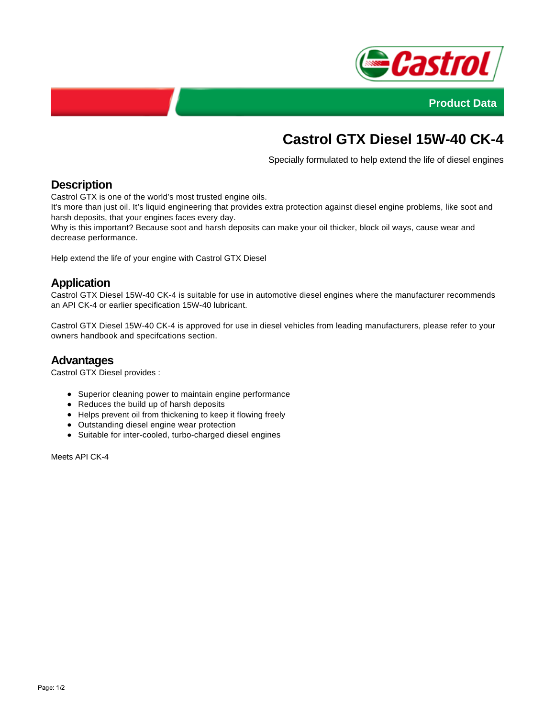



# **Castrol GTX Diesel 15W-40 CK-4**

Specially formulated to help extend the life of diesel engines

## **Description**

Castrol GTX is one of the world's most trusted engine oils.

It's more than just oil. It's liquid engineering that provides extra protection against diesel engine problems, like soot and harsh deposits, that your engines faces every day.

Why is this important? Because soot and harsh deposits can make your oil thicker, block oil ways, cause wear and decrease performance.

Help extend the life of your engine with Castrol GTX Diesel

### **Application**

Castrol GTX Diesel 15W-40 CK-4 is suitable for use in automotive diesel engines where the manufacturer recommends an API CK-4 or earlier specification 15W-40 lubricant.

Castrol GTX Diesel 15W-40 CK-4 is approved for use in diesel vehicles from leading manufacturers, please refer to your owners handbook and specifcations section.

#### **Advantages**

Castrol GTX Diesel provides :

- Superior cleaning power to maintain engine performance
- Reduces the build up of harsh deposits
- Helps prevent oil from thickening to keep it flowing freely
- Outstanding diesel engine wear protection
- Suitable for inter-cooled, turbo-charged diesel engines

Meets API CK-4